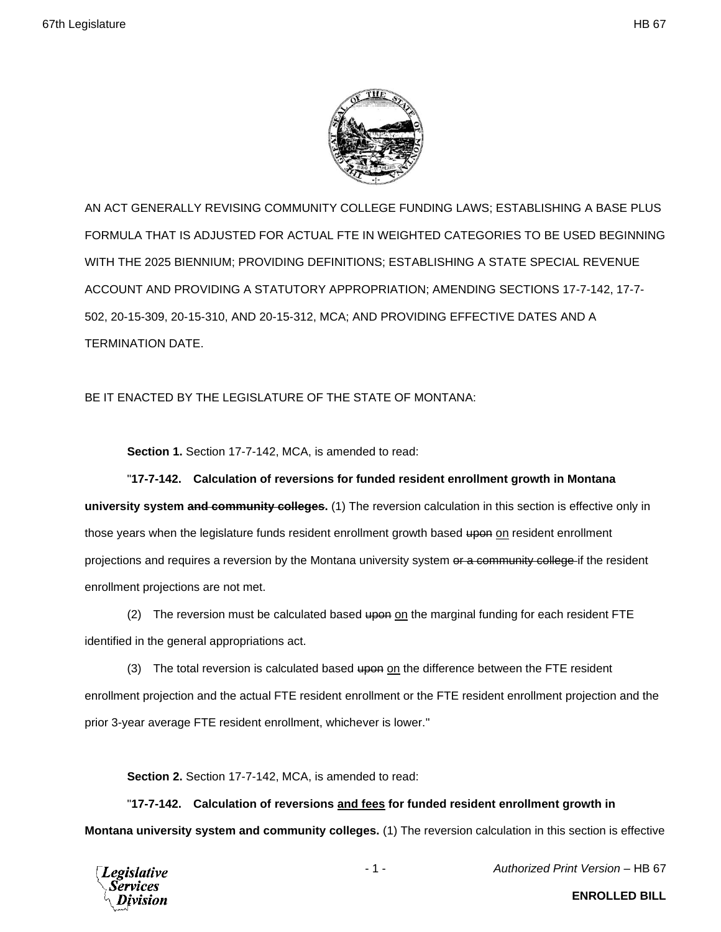

AN ACT GENERALLY REVISING COMMUNITY COLLEGE FUNDING LAWS; ESTABLISHING A BASE PLUS FORMULA THAT IS ADJUSTED FOR ACTUAL FTE IN WEIGHTED CATEGORIES TO BE USED BEGINNING WITH THE 2025 BIENNIUM; PROVIDING DEFINITIONS; ESTABLISHING A STATE SPECIAL REVENUE ACCOUNT AND PROVIDING A STATUTORY APPROPRIATION; AMENDING SECTIONS 17-7-142, 17-7- 502, 20-15-309, 20-15-310, AND 20-15-312, MCA; AND PROVIDING EFFECTIVE DATES AND A TERMINATION DATE.

# BE IT ENACTED BY THE LEGISLATURE OF THE STATE OF MONTANA:

**Section 1.** Section 17-7-142, MCA, is amended to read:

"**17-7-142. Calculation of reversions for funded resident enrollment growth in Montana university system and community colleges.** (1) The reversion calculation in this section is effective only in those years when the legislature funds resident enrollment growth based upon on resident enrollment projections and requires a reversion by the Montana university system or a community college if the resident enrollment projections are not met.

(2) The reversion must be calculated based  $\frac{1}{2}$  the marginal funding for each resident FTE identified in the general appropriations act.

(3) The total reversion is calculated based upon on the difference between the FTE resident enrollment projection and the actual FTE resident enrollment or the FTE resident enrollment projection and the prior 3-year average FTE resident enrollment, whichever is lower."

**Section 2.** Section 17-7-142, MCA, is amended to read:

"**17-7-142. Calculation of reversions and fees for funded resident enrollment growth in Montana university system and community colleges.** (1) The reversion calculation in this section is effective



- 1 - *Authorized Print Version* – HB 67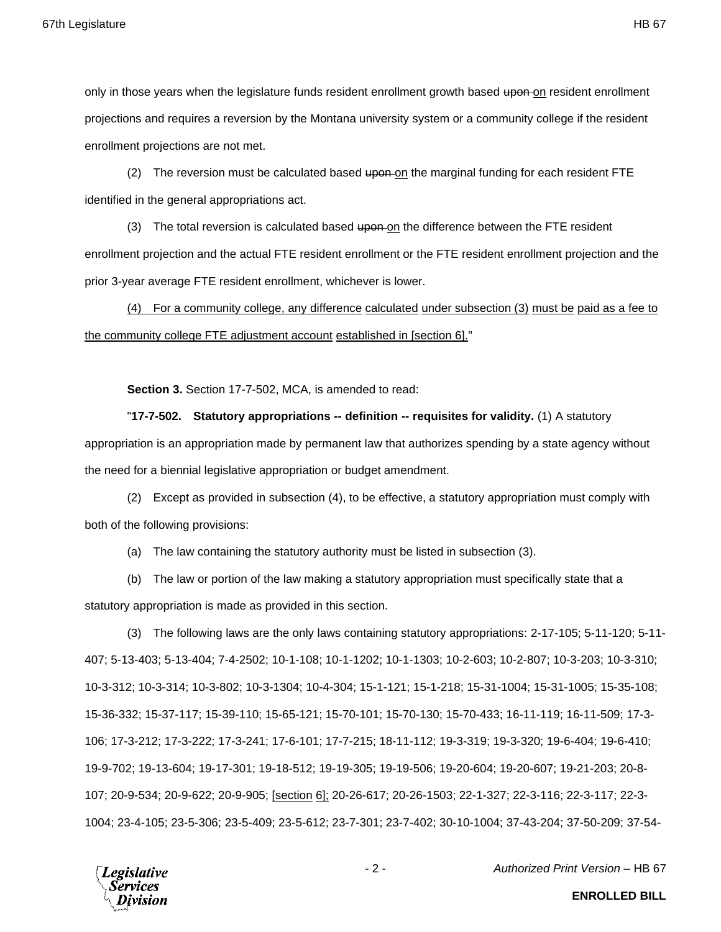only in those years when the legislature funds resident enrollment growth based upon on resident enrollment projections and requires a reversion by the Montana university system or a community college if the resident enrollment projections are not met.

(2) The reversion must be calculated based upon on the marginal funding for each resident FTE identified in the general appropriations act.

(3) The total reversion is calculated based upon on the difference between the FTE resident enrollment projection and the actual FTE resident enrollment or the FTE resident enrollment projection and the prior 3-year average FTE resident enrollment, whichever is lower.

(4) For a community college, any difference calculated under subsection (3) must be paid as a fee to the community college FTE adjustment account established in [section 6]."

**Section 3.** Section 17-7-502, MCA, is amended to read:

"**17-7-502. Statutory appropriations -- definition -- requisites for validity.** (1) A statutory appropriation is an appropriation made by permanent law that authorizes spending by a state agency without the need for a biennial legislative appropriation or budget amendment.

(2) Except as provided in subsection (4), to be effective, a statutory appropriation must comply with both of the following provisions:

(a) The law containing the statutory authority must be listed in subsection (3).

(b) The law or portion of the law making a statutory appropriation must specifically state that a statutory appropriation is made as provided in this section.

(3) The following laws are the only laws containing statutory appropriations: 2-17-105; 5-11-120; 5-11- 407; 5-13-403; 5-13-404; 7-4-2502; 10-1-108; 10-1-1202; 10-1-1303; 10-2-603; 10-2-807; 10-3-203; 10-3-310; 10-3-312; 10-3-314; 10-3-802; 10-3-1304; 10-4-304; 15-1-121; 15-1-218; 15-31-1004; 15-31-1005; 15-35-108; 15-36-332; 15-37-117; 15-39-110; 15-65-121; 15-70-101; 15-70-130; 15-70-433; 16-11-119; 16-11-509; 17-3- 106; 17-3-212; 17-3-222; 17-3-241; 17-6-101; 17-7-215; 18-11-112; 19-3-319; 19-3-320; 19-6-404; 19-6-410; 19-9-702; 19-13-604; 19-17-301; 19-18-512; 19-19-305; 19-19-506; 19-20-604; 19-20-607; 19-21-203; 20-8- 107; 20-9-534; 20-9-622; 20-9-905; [section 6]; 20-26-617; 20-26-1503; 22-1-327; 22-3-116; 22-3-117; 22-3- 1004; 23-4-105; 23-5-306; 23-5-409; 23-5-612; 23-7-301; 23-7-402; 30-10-1004; 37-43-204; 37-50-209; 37-54-

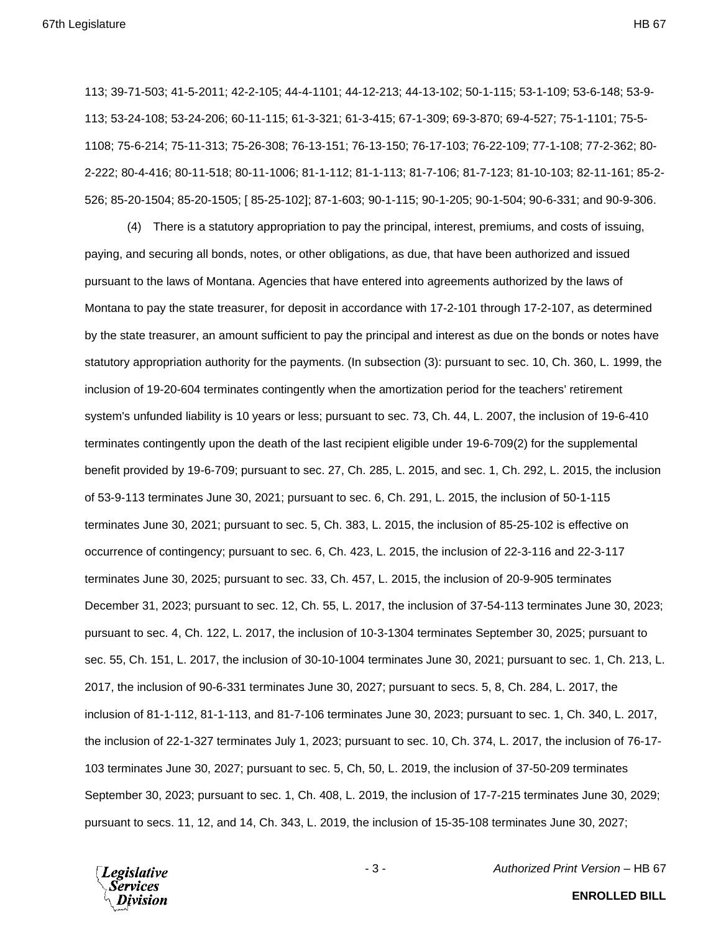113; 39-71-503; 41-5-2011; 42-2-105; 44-4-1101; 44-12-213; 44-13-102; 50-1-115; 53-1-109; 53-6-148; 53-9- 113; 53-24-108; 53-24-206; 60-11-115; 61-3-321; 61-3-415; 67-1-309; 69-3-870; 69-4-527; 75-1-1101; 75-5- 1108; 75-6-214; 75-11-313; 75-26-308; 76-13-151; 76-13-150; 76-17-103; 76-22-109; 77-1-108; 77-2-362; 80- 2-222; 80-4-416; 80-11-518; 80-11-1006; 81-1-112; 81-1-113; 81-7-106; 81-7-123; 81-10-103; 82-11-161; 85-2- 526; 85-20-1504; 85-20-1505; [ 85-25-102]; 87-1-603; 90-1-115; 90-1-205; 90-1-504; 90-6-331; and 90-9-306.

(4) There is a statutory appropriation to pay the principal, interest, premiums, and costs of issuing, paying, and securing all bonds, notes, or other obligations, as due, that have been authorized and issued pursuant to the laws of Montana. Agencies that have entered into agreements authorized by the laws of Montana to pay the state treasurer, for deposit in accordance with 17-2-101 through 17-2-107, as determined by the state treasurer, an amount sufficient to pay the principal and interest as due on the bonds or notes have statutory appropriation authority for the payments. (In subsection (3): pursuant to sec. 10, Ch. 360, L. 1999, the inclusion of 19-20-604 terminates contingently when the amortization period for the teachers' retirement system's unfunded liability is 10 years or less; pursuant to sec. 73, Ch. 44, L. 2007, the inclusion of 19-6-410 terminates contingently upon the death of the last recipient eligible under 19-6-709(2) for the supplemental benefit provided by 19-6-709; pursuant to sec. 27, Ch. 285, L. 2015, and sec. 1, Ch. 292, L. 2015, the inclusion of 53-9-113 terminates June 30, 2021; pursuant to sec. 6, Ch. 291, L. 2015, the inclusion of 50-1-115 terminates June 30, 2021; pursuant to sec. 5, Ch. 383, L. 2015, the inclusion of 85-25-102 is effective on occurrence of contingency; pursuant to sec. 6, Ch. 423, L. 2015, the inclusion of 22-3-116 and 22-3-117 terminates June 30, 2025; pursuant to sec. 33, Ch. 457, L. 2015, the inclusion of 20-9-905 terminates December 31, 2023; pursuant to sec. 12, Ch. 55, L. 2017, the inclusion of 37-54-113 terminates June 30, 2023; pursuant to sec. 4, Ch. 122, L. 2017, the inclusion of 10-3-1304 terminates September 30, 2025; pursuant to sec. 55, Ch. 151, L. 2017, the inclusion of 30-10-1004 terminates June 30, 2021; pursuant to sec. 1, Ch. 213, L. 2017, the inclusion of 90-6-331 terminates June 30, 2027; pursuant to secs. 5, 8, Ch. 284, L. 2017, the inclusion of 81-1-112, 81-1-113, and 81-7-106 terminates June 30, 2023; pursuant to sec. 1, Ch. 340, L. 2017, the inclusion of 22-1-327 terminates July 1, 2023; pursuant to sec. 10, Ch. 374, L. 2017, the inclusion of 76-17- 103 terminates June 30, 2027; pursuant to sec. 5, Ch, 50, L. 2019, the inclusion of 37-50-209 terminates September 30, 2023; pursuant to sec. 1, Ch. 408, L. 2019, the inclusion of 17-7-215 terminates June 30, 2029; pursuant to secs. 11, 12, and 14, Ch. 343, L. 2019, the inclusion of 15-35-108 terminates June 30, 2027;

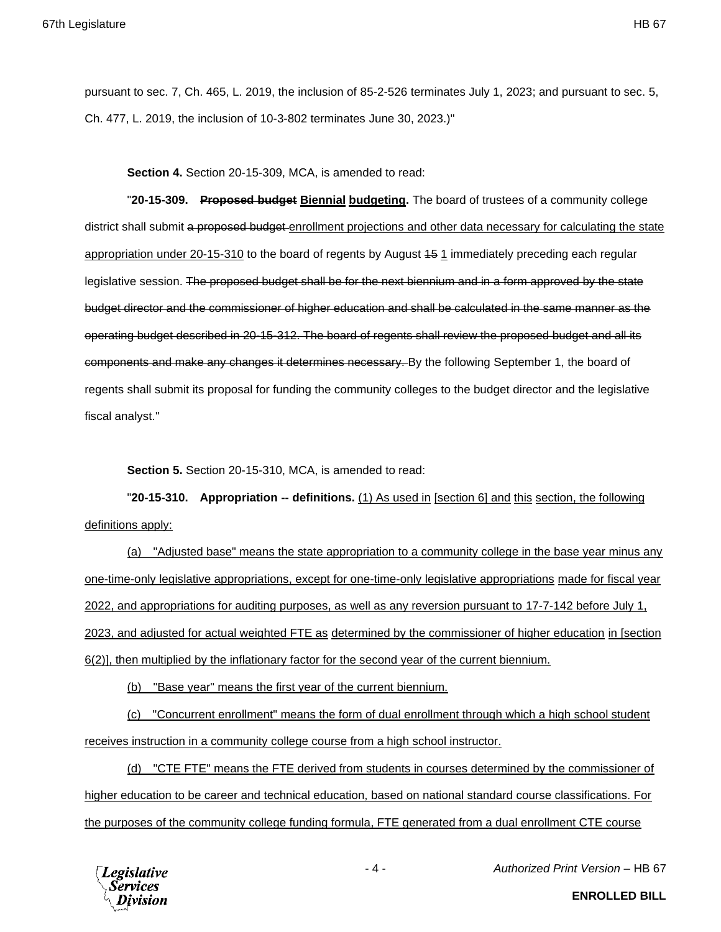pursuant to sec. 7, Ch. 465, L. 2019, the inclusion of 85-2-526 terminates July 1, 2023; and pursuant to sec. 5, Ch. 477, L. 2019, the inclusion of 10-3-802 terminates June 30, 2023.)"

**Section 4.** Section 20-15-309, MCA, is amended to read:

"**20-15-309. Proposed budget Biennial budgeting.** The board of trustees of a community college district shall submit a proposed budget enrollment projections and other data necessary for calculating the state appropriation under 20-15-310 to the board of regents by August 15 1 immediately preceding each regular legislative session. The proposed budget shall be for the next biennium and in a form approved by the state budget director and the commissioner of higher education and shall be calculated in the same manner as the operating budget described in 20-15-312. The board of regents shall review the proposed budget and all its components and make any changes it determines necessary. By the following September 1, the board of regents shall submit its proposal for funding the community colleges to the budget director and the legislative fiscal analyst."

**Section 5.** Section 20-15-310, MCA, is amended to read:

"**20-15-310. Appropriation -- definitions.** (1) As used in [section 6] and this section, the following definitions apply:

(a) "Adjusted base" means the state appropriation to a community college in the base year minus any one-time-only legislative appropriations, except for one-time-only legislative appropriations made for fiscal year 2022, and appropriations for auditing purposes, as well as any reversion pursuant to 17-7-142 before July 1, 2023, and adjusted for actual weighted FTE as determined by the commissioner of higher education in [section 6(2)], then multiplied by the inflationary factor for the second year of the current biennium.

(b) "Base year" means the first year of the current biennium.

(c) "Concurrent enrollment" means the form of dual enrollment through which a high school student receives instruction in a community college course from a high school instructor.

(d) "CTE FTE" means the FTE derived from students in courses determined by the commissioner of higher education to be career and technical education, based on national standard course classifications. For the purposes of the community college funding formula, FTE generated from a dual enrollment CTE course



- 4 - *Authorized Print Version* – HB 67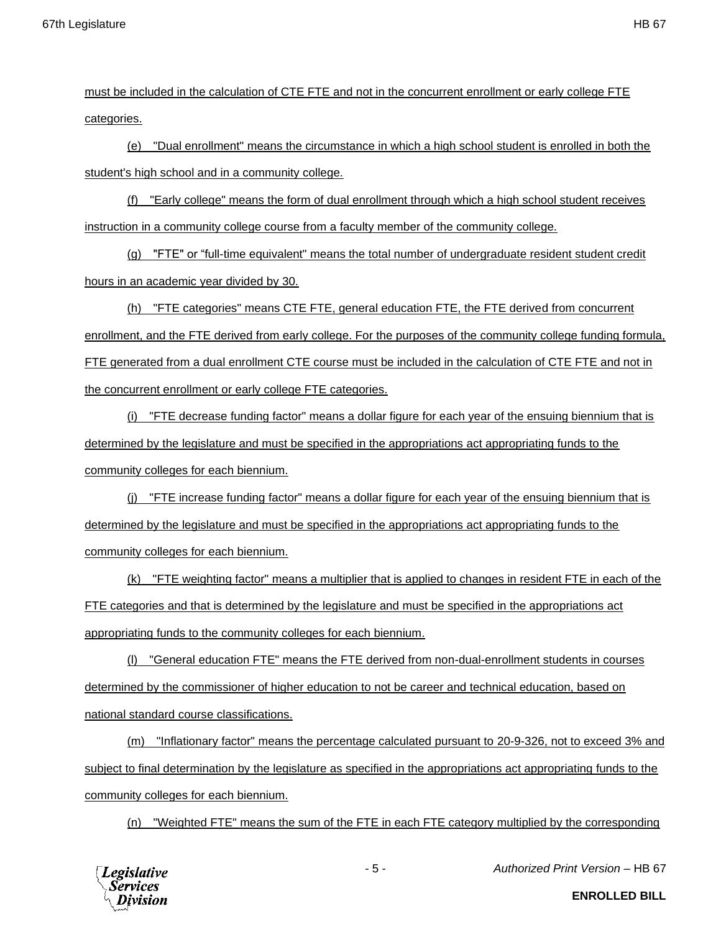must be included in the calculation of CTE FTE and not in the concurrent enrollment or early college FTE categories.

(e) "Dual enrollment" means the circumstance in which a high school student is enrolled in both the student's high school and in a community college.

(f) "Early college" means the form of dual enrollment through which a high school student receives instruction in a community college course from a faculty member of the community college.

(g) "FTE" or "full-time equivalent" means the total number of undergraduate resident student credit hours in an academic year divided by 30.

(h) "FTE categories" means CTE FTE, general education FTE, the FTE derived from concurrent enrollment, and the FTE derived from early college. For the purposes of the community college funding formula, FTE generated from a dual enrollment CTE course must be included in the calculation of CTE FTE and not in the concurrent enrollment or early college FTE categories.

(i) "FTE decrease funding factor" means a dollar figure for each year of the ensuing biennium that is determined by the legislature and must be specified in the appropriations act appropriating funds to the community colleges for each biennium.

 $(i)$  "FTE increase funding factor" means a dollar figure for each year of the ensuing biennium that is determined by the legislature and must be specified in the appropriations act appropriating funds to the community colleges for each biennium.

(k) "FTE weighting factor" means a multiplier that is applied to changes in resident FTE in each of the FTE categories and that is determined by the legislature and must be specified in the appropriations act appropriating funds to the community colleges for each biennium.

(l) "General education FTE" means the FTE derived from non-dual-enrollment students in courses determined by the commissioner of higher education to not be career and technical education, based on national standard course classifications.

(m) "Inflationary factor" means the percentage calculated pursuant to 20-9-326, not to exceed 3% and subject to final determination by the legislature as specified in the appropriations act appropriating funds to the community colleges for each biennium.

(n) "Weighted FTE" means the sum of the FTE in each FTE category multiplied by the corresponding



- 5 - *Authorized Print Version* – HB 67

**ENROLLED BILL**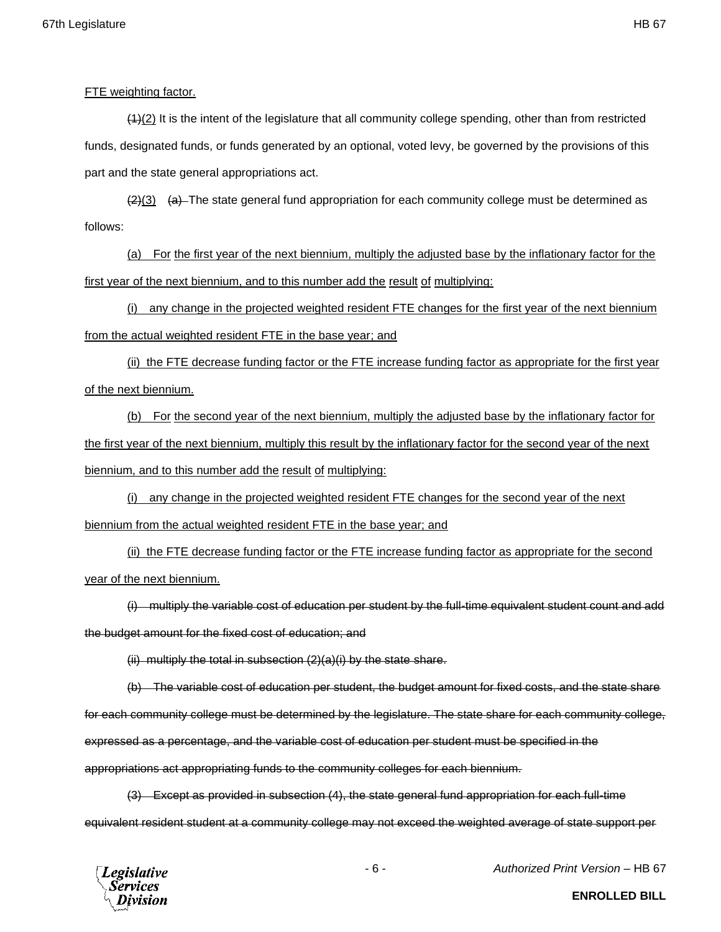## FTE weighting factor.

 $(4)(2)$  It is the intent of the legislature that all community college spending, other than from restricted funds, designated funds, or funds generated by an optional, voted levy, be governed by the provisions of this part and the state general appropriations act.

 $\frac{2}{3}$  (a) The state general fund appropriation for each community college must be determined as follows:

(a) For the first year of the next biennium, multiply the adjusted base by the inflationary factor for the first year of the next biennium, and to this number add the result of multiplying:

(i) any change in the projected weighted resident FTE changes for the first year of the next biennium from the actual weighted resident FTE in the base year; and

(ii) the FTE decrease funding factor or the FTE increase funding factor as appropriate for the first year of the next biennium.

(b) For the second year of the next biennium, multiply the adjusted base by the inflationary factor for the first year of the next biennium, multiply this result by the inflationary factor for the second year of the next biennium, and to this number add the result of multiplying:

(i) any change in the projected weighted resident FTE changes for the second year of the next biennium from the actual weighted resident FTE in the base year; and

(ii) the FTE decrease funding factor or the FTE increase funding factor as appropriate for the second year of the next biennium.

(i) multiply the variable cost of education per student by the full-time equivalent student count and add the budget amount for the fixed cost of education; and

 $(iii)$  multiply the total in subsection  $(2)(a)(i)$  by the state share.

(b) The variable cost of education per student, the budget amount for fixed costs, and the state share for each community college must be determined by the legislature. The state share for each community college, expressed as a percentage, and the variable cost of education per student must be specified in the appropriations act appropriating funds to the community colleges for each biennium.

(3) Except as provided in subsection (4), the state general fund appropriation for each full-time equivalent resident student at a community college may not exceed the weighted average of state support per



- 6 - *Authorized Print Version* – HB 67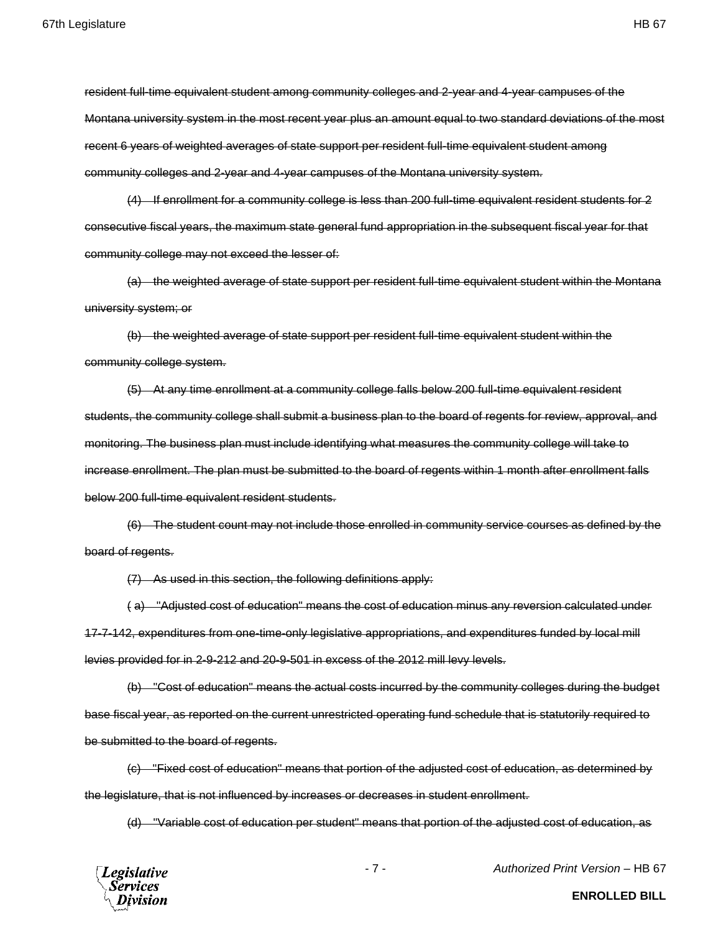resident full-time equivalent student among community colleges and 2-year and 4-year campuses of the Montana university system in the most recent year plus an amount equal to two standard deviations of the most recent 6 years of weighted averages of state support per resident full-time equivalent student among

community colleges and 2-year and 4-year campuses of the Montana university system.

(4) If enrollment for a community college is less than 200 full-time equivalent resident students for 2 consecutive fiscal years, the maximum state general fund appropriation in the subsequent fiscal year for that community college may not exceed the lesser of:

(a) the weighted average of state support per resident full-time equivalent student within the Montana university system; or

(b) the weighted average of state support per resident full-time equivalent student within the community college system.

(5) At any time enrollment at a community college falls below 200 full-time equivalent resident students, the community college shall submit a business plan to the board of regents for review, approval, and monitoring. The business plan must include identifying what measures the community college will take to increase enrollment. The plan must be submitted to the board of regents within 1 month after enrollment falls below 200 full-time equivalent resident students.

(6) The student count may not include those enrolled in community service courses as defined by the board of regents.

(7) As used in this section, the following definitions apply:

( a) "Adjusted cost of education" means the cost of education minus any reversion calculated under 17-7-142, expenditures from one-time-only legislative appropriations, and expenditures funded by local mill levies provided for in 2-9-212 and 20-9-501 in excess of the 2012 mill levy levels.

(b) "Cost of education" means the actual costs incurred by the community colleges during the budget base fiscal year, as reported on the current unrestricted operating fund schedule that is statutorily required to be submitted to the board of regents.

(c) "Fixed cost of education" means that portion of the adjusted cost of education, as determined by the legislature, that is not influenced by increases or decreases in student enrollment.

(d) "Variable cost of education per student" means that portion of the adjusted cost of education, as

**Legislative Services** Division

- 7 - *Authorized Print Version* – HB 67

**ENROLLED BILL**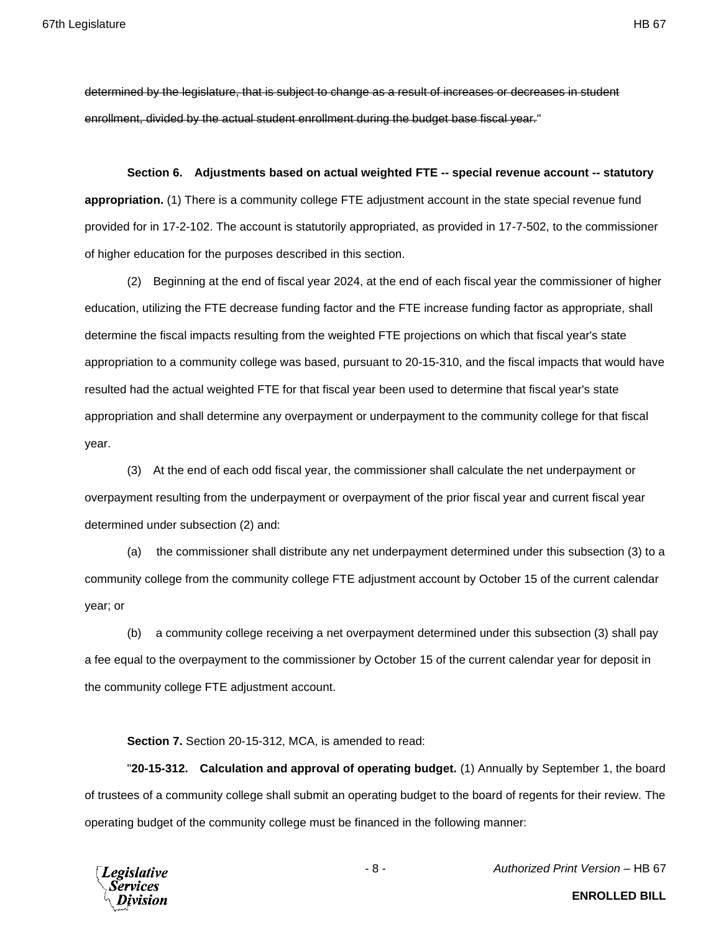determined by the legislature, that is subject to change as a result of increases or decreases in student enrollment, divided by the actual student enrollment during the budget base fiscal year."

**Section 6. Adjustments based on actual weighted FTE -- special revenue account -- statutory appropriation.** (1) There is a community college FTE adjustment account in the state special revenue fund provided for in 17-2-102. The account is statutorily appropriated, as provided in 17-7-502, to the commissioner of higher education for the purposes described in this section.

(2) Beginning at the end of fiscal year 2024, at the end of each fiscal year the commissioner of higher education, utilizing the FTE decrease funding factor and the FTE increase funding factor as appropriate, shall determine the fiscal impacts resulting from the weighted FTE projections on which that fiscal year's state appropriation to a community college was based, pursuant to 20-15-310, and the fiscal impacts that would have resulted had the actual weighted FTE for that fiscal year been used to determine that fiscal year's state appropriation and shall determine any overpayment or underpayment to the community college for that fiscal year.

(3) At the end of each odd fiscal year, the commissioner shall calculate the net underpayment or overpayment resulting from the underpayment or overpayment of the prior fiscal year and current fiscal year determined under subsection (2) and:

(a) the commissioner shall distribute any net underpayment determined under this subsection (3) to a community college from the community college FTE adjustment account by October 15 of the current calendar year; or

(b) a community college receiving a net overpayment determined under this subsection (3) shall pay a fee equal to the overpayment to the commissioner by October 15 of the current calendar year for deposit in the community college FTE adjustment account.

**Section 7.** Section 20-15-312, MCA, is amended to read:

"**20-15-312. Calculation and approval of operating budget.** (1) Annually by September 1, the board of trustees of a community college shall submit an operating budget to the board of regents for their review. The operating budget of the community college must be financed in the following manner:



- 8 - *Authorized Print Version* – HB 67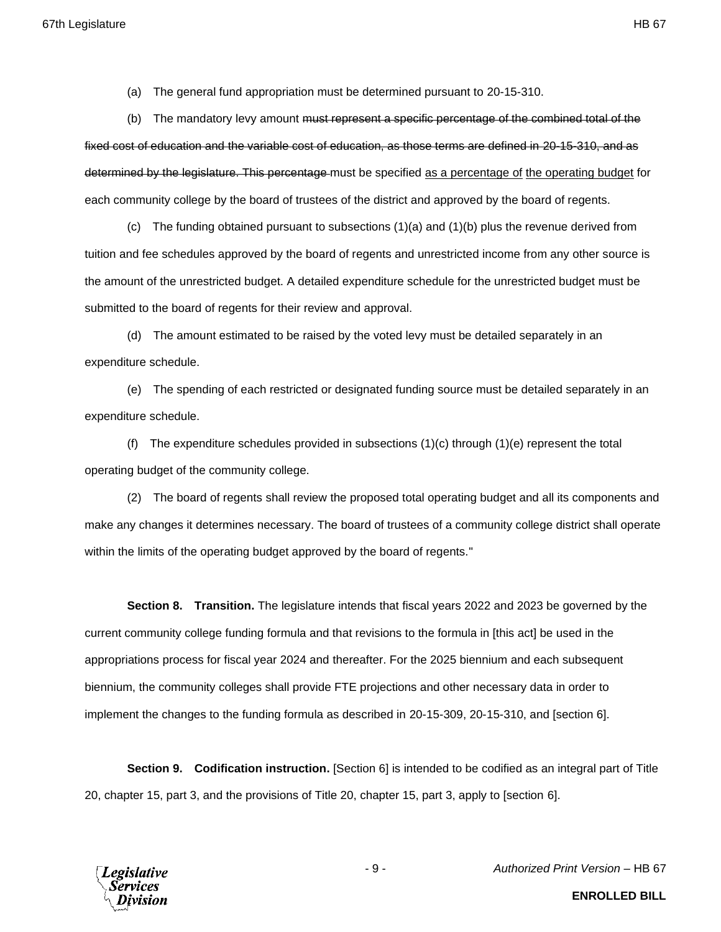(a) The general fund appropriation must be determined pursuant to 20-15-310.

(b) The mandatory levy amount <del>must represent a specific percentage of the combined total of the</del> fixed cost of education and the variable cost of education, as those terms are defined in 20-15-310, and as determined by the legislature. This percentage must be specified as a percentage of the operating budget for each community college by the board of trustees of the district and approved by the board of regents.

(c) The funding obtained pursuant to subsections (1)(a) and (1)(b) plus the revenue derived from tuition and fee schedules approved by the board of regents and unrestricted income from any other source is the amount of the unrestricted budget. A detailed expenditure schedule for the unrestricted budget must be submitted to the board of regents for their review and approval.

(d) The amount estimated to be raised by the voted levy must be detailed separately in an expenditure schedule.

(e) The spending of each restricted or designated funding source must be detailed separately in an expenditure schedule.

(f) The expenditure schedules provided in subsections  $(1)(c)$  through  $(1)(e)$  represent the total operating budget of the community college.

(2) The board of regents shall review the proposed total operating budget and all its components and make any changes it determines necessary. The board of trustees of a community college district shall operate within the limits of the operating budget approved by the board of regents."

**Section 8. Transition.** The legislature intends that fiscal years 2022 and 2023 be governed by the current community college funding formula and that revisions to the formula in [this act] be used in the appropriations process for fiscal year 2024 and thereafter. For the 2025 biennium and each subsequent biennium, the community colleges shall provide FTE projections and other necessary data in order to implement the changes to the funding formula as described in 20-15-309, 20-15-310, and [section 6].

**Section 9. Codification instruction.** [Section 6] is intended to be codified as an integral part of Title 20, chapter 15, part 3, and the provisions of Title 20, chapter 15, part 3, apply to [section 6].



- 9 - *Authorized Print Version* – HB 67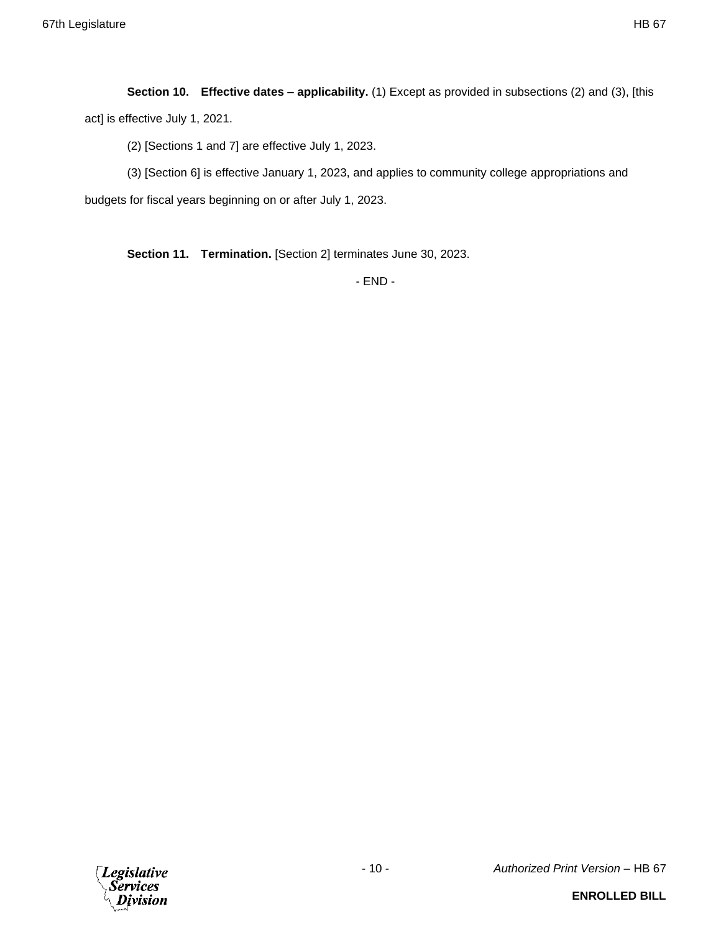**Section 10. Effective dates – applicability.** (1) Except as provided in subsections (2) and (3), [this act] is effective July 1, 2021.

(2) [Sections 1 and 7] are effective July 1, 2023.

(3) [Section 6] is effective January 1, 2023, and applies to community college appropriations and budgets for fiscal years beginning on or after July 1, 2023.

**Section 11. Termination.** [Section 2] terminates June 30, 2023.

- END -

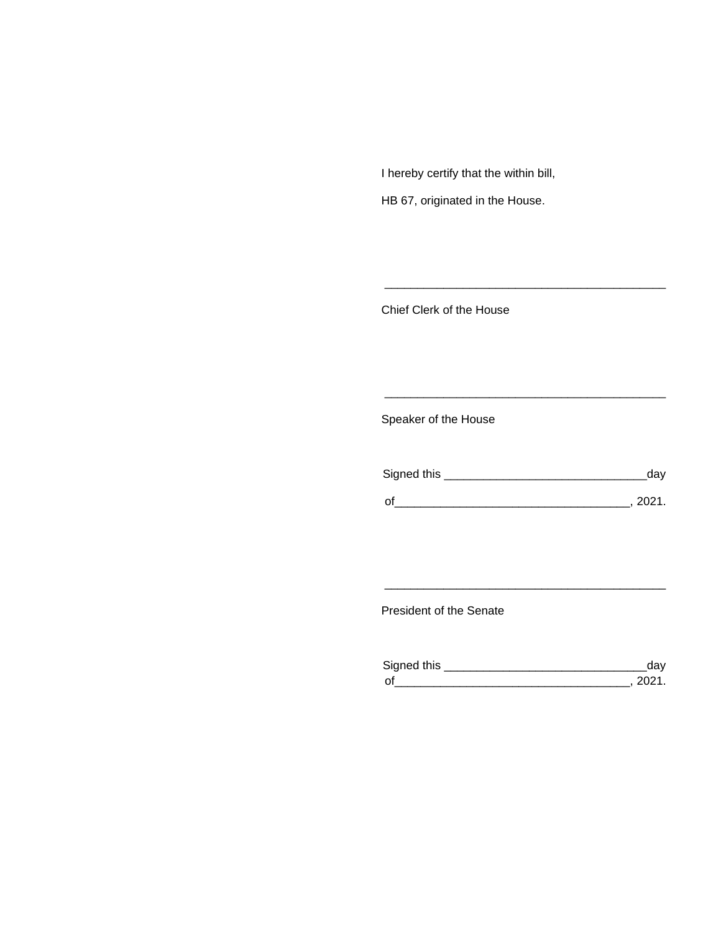I hereby certify that the within bill,

HB 67, originated in the House.

Chief Clerk of the House

Speaker of the House

| Signed this | aav  |
|-------------|------|
| $\Omega$    | ンロウィ |

\_\_\_\_\_\_\_\_\_\_\_\_\_\_\_\_\_\_\_\_\_\_\_\_\_\_\_\_\_\_\_\_\_\_\_\_\_\_\_\_\_\_\_

\_\_\_\_\_\_\_\_\_\_\_\_\_\_\_\_\_\_\_\_\_\_\_\_\_\_\_\_\_\_\_\_\_\_\_\_\_\_\_\_\_\_\_

President of the Senate

| Sianed this |  |
|-------------|--|
| $\Omega$    |  |

\_\_\_\_\_\_\_\_\_\_\_\_\_\_\_\_\_\_\_\_\_\_\_\_\_\_\_\_\_\_\_\_\_\_\_\_\_\_\_\_\_\_\_